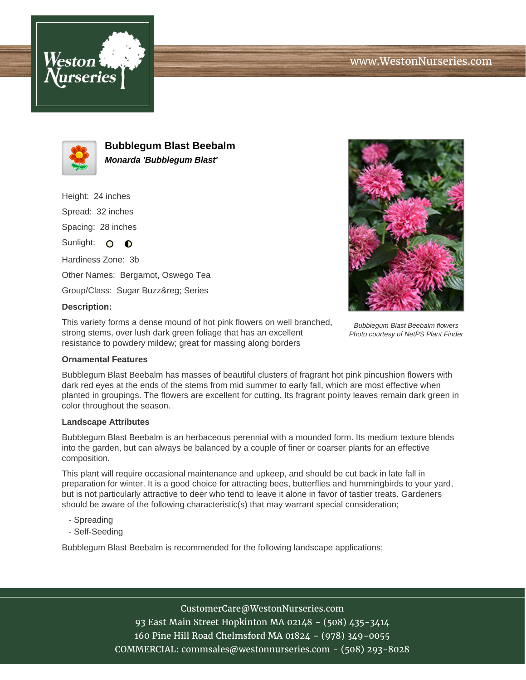



**Bubblegum Blast Beebalm Monarda 'Bubblegum Blast'**

Height: 24 inches Spread: 32 inches Spacing: 28 inches Sunlight:  $\circ$   $\bullet$ Hardiness Zone: 3b Other Names: Bergamot, Oswego Tea

Group/Class: Sugar Buzz® Series

# **Description:**

This variety forms a dense mound of hot pink flowers on well branched, strong stems, over lush dark green foliage that has an excellent resistance to powdery mildew; great for massing along borders

#### **Ornamental Features**

Bubblegum Blast Beebalm has masses of beautiful clusters of fragrant hot pink pincushion flowers with dark red eyes at the ends of the stems from mid summer to early fall, which are most effective when planted in groupings. The flowers are excellent for cutting. Its fragrant pointy leaves remain dark green in color throughout the season.

#### **Landscape Attributes**

Bubblegum Blast Beebalm is an herbaceous perennial with a mounded form. Its medium texture blends into the garden, but can always be balanced by a couple of finer or coarser plants for an effective composition.

This plant will require occasional maintenance and upkeep, and should be cut back in late fall in preparation for winter. It is a good choice for attracting bees, butterflies and hummingbirds to your yard, but is not particularly attractive to deer who tend to leave it alone in favor of tastier treats. Gardeners should be aware of the following characteristic(s) that may warrant special consideration;

- Spreading
- Self-Seeding

Bubblegum Blast Beebalm is recommended for the following landscape applications;

## CustomerCare@WestonNurseries.com

93 East Main Street Hopkinton MA 02148 - (508) 435-3414 160 Pine Hill Road Chelmsford MA 01824 - (978) 349-0055 COMMERCIAL: commsales@westonnurseries.com - (508) 293-8028



Bubblegum Blast Beebalm flowers Photo courtesy of NetPS Plant Finder